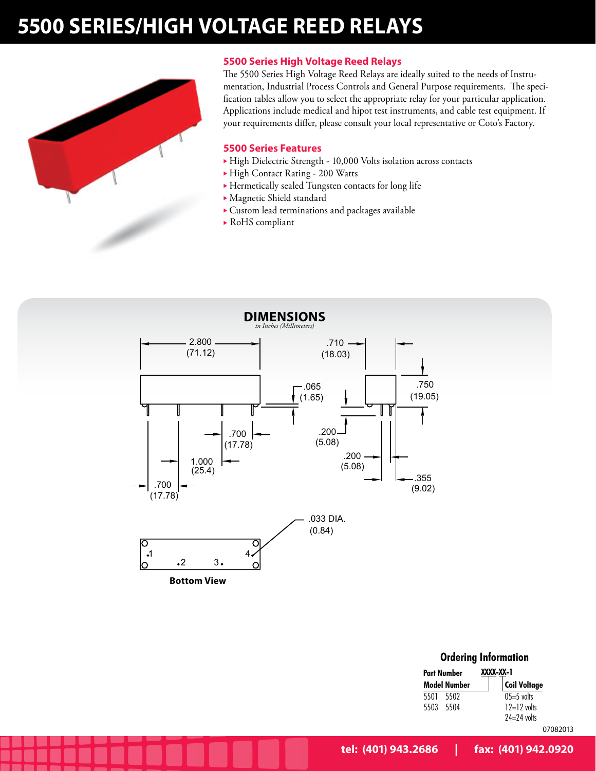# **5500 SERIES/HIGH VOLTAGE REED RELAYS**



## **5500 Series High Voltage Reed Relays**

The 5500 Series High Voltage Reed Relays are ideally suited to the needs of Instrumentation, Industrial Process Controls and General Purpose requirements. The specification tables allow you to select the appropriate relay for your particular application. Applications include medical and hipot test instruments, and cable test equipment. If your requirements differ, please consult your local representative or Coto's Factory.

#### **5500 Series Features**

- High Dielectric Strength 10,000 Volts isolation across contacts
- ▶ High Contact Rating 200 Watts
- $\blacktriangleright$  Hermetically sealed Tungsten contacts for long life
- $\blacktriangleright$  Magnetic Shield standard
- $\blacktriangleright$  Custom lead terminations and packages available
- $\triangleright$  RoHS compliant



| <b>Ordering Information</b> |                     |  |  |  |  |  |  |  |  |  |
|-----------------------------|---------------------|--|--|--|--|--|--|--|--|--|
| Part Number                 | XXXX-XX-1           |  |  |  |  |  |  |  |  |  |
| Model Number                | <b>Coil Voltage</b> |  |  |  |  |  |  |  |  |  |
| 5501<br>5502                | $05=5$ volts        |  |  |  |  |  |  |  |  |  |
| 5503<br>5504                | $12=12$ volts       |  |  |  |  |  |  |  |  |  |
|                             | $74=74$ volts       |  |  |  |  |  |  |  |  |  |
|                             | 07082013            |  |  |  |  |  |  |  |  |  |